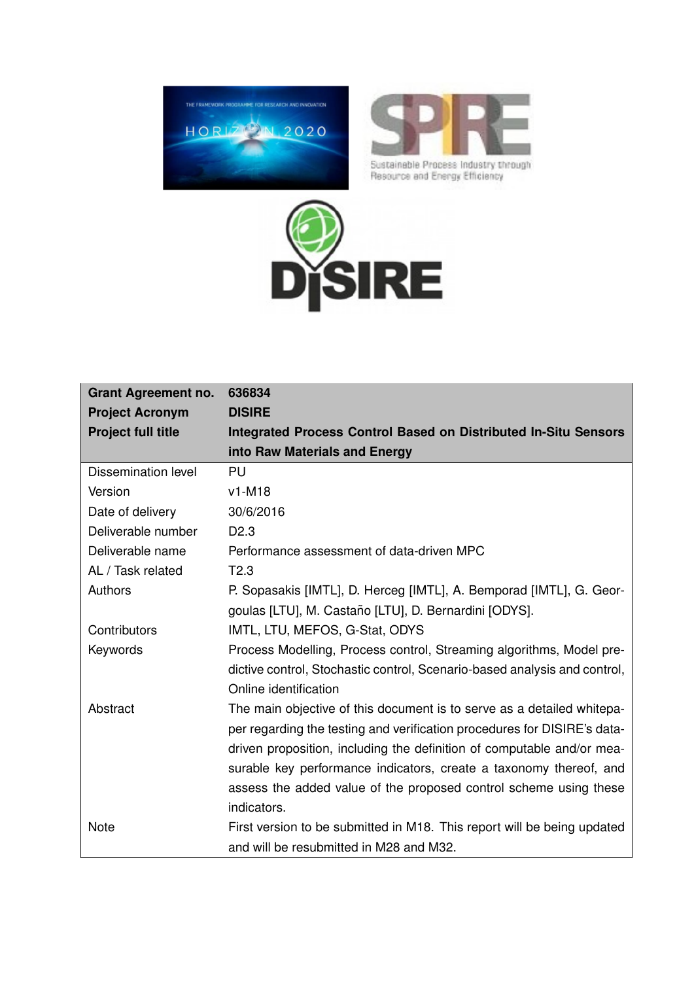<span id="page-0-0"></span>



Sustainable Process Industry through<br>Resource and Energy Efficiency



| <b>Grant Agreement no.</b> | 636834                                                                    |
|----------------------------|---------------------------------------------------------------------------|
| <b>Project Acronym</b>     | <b>DISIRE</b>                                                             |
| <b>Project full title</b>  | <b>Integrated Process Control Based on Distributed In-Situ Sensors</b>    |
|                            | into Raw Materials and Energy                                             |
| <b>Dissemination level</b> | PU                                                                        |
| Version                    | $v1-M18$                                                                  |
| Date of delivery           | 30/6/2016                                                                 |
| Deliverable number         | D <sub>2.3</sub>                                                          |
| Deliverable name           | Performance assessment of data-driven MPC                                 |
| AL / Task related          | T2.3                                                                      |
| Authors                    | P. Sopasakis [IMTL], D. Herceg [IMTL], A. Bemporad [IMTL], G. Geor-       |
|                            | goulas [LTU], M. Castaño [LTU], D. Bernardini [ODYS].                     |
| Contributors               | IMTL, LTU, MEFOS, G-Stat, ODYS                                            |
| Keywords                   | Process Modelling, Process control, Streaming algorithms, Model pre-      |
|                            | dictive control, Stochastic control, Scenario-based analysis and control, |
|                            | Online identification                                                     |
| Abstract                   | The main objective of this document is to serve as a detailed whitepa-    |
|                            | per regarding the testing and verification procedures for DISIRE's data-  |
|                            | driven proposition, including the definition of computable and/or mea-    |
|                            | surable key performance indicators, create a taxonomy thereof, and        |
|                            | assess the added value of the proposed control scheme using these         |
|                            | indicators.                                                               |
| <b>Note</b>                | First version to be submitted in M18. This report will be being updated   |
|                            | and will be resubmitted in M28 and M32.                                   |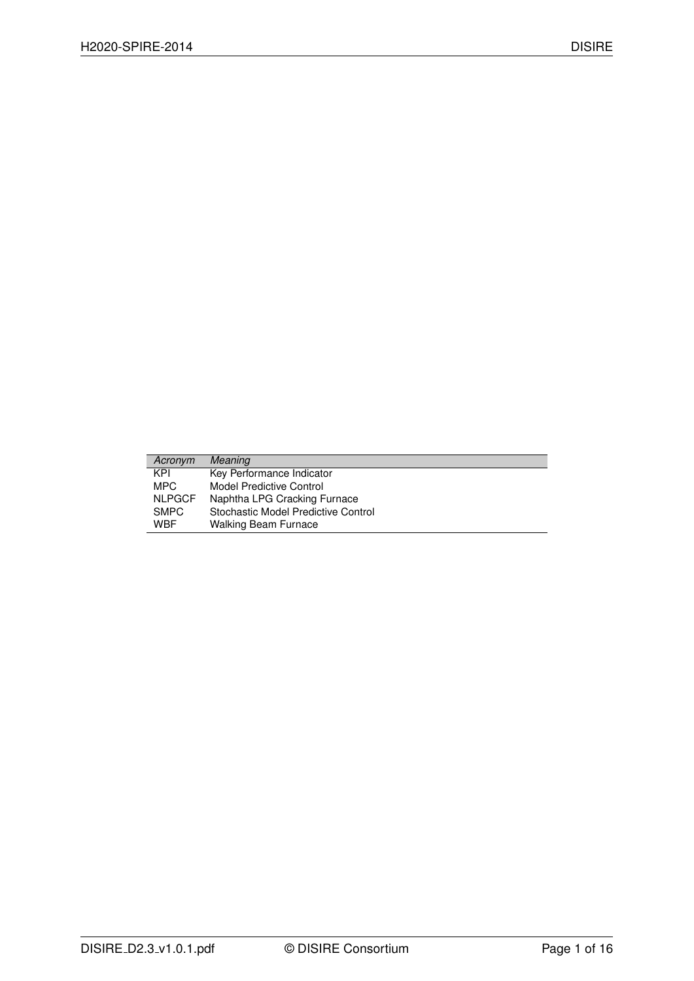| Acronym       | <b>Meaning</b>                      |
|---------------|-------------------------------------|
| KPI           | Key Performance Indicator           |
| MPC.          | Model Predictive Control            |
| <b>NLPGCF</b> | Naphtha LPG Cracking Furnace        |
| <b>SMPC</b>   | Stochastic Model Predictive Control |
| <b>WBF</b>    | <b>Walking Beam Furnace</b>         |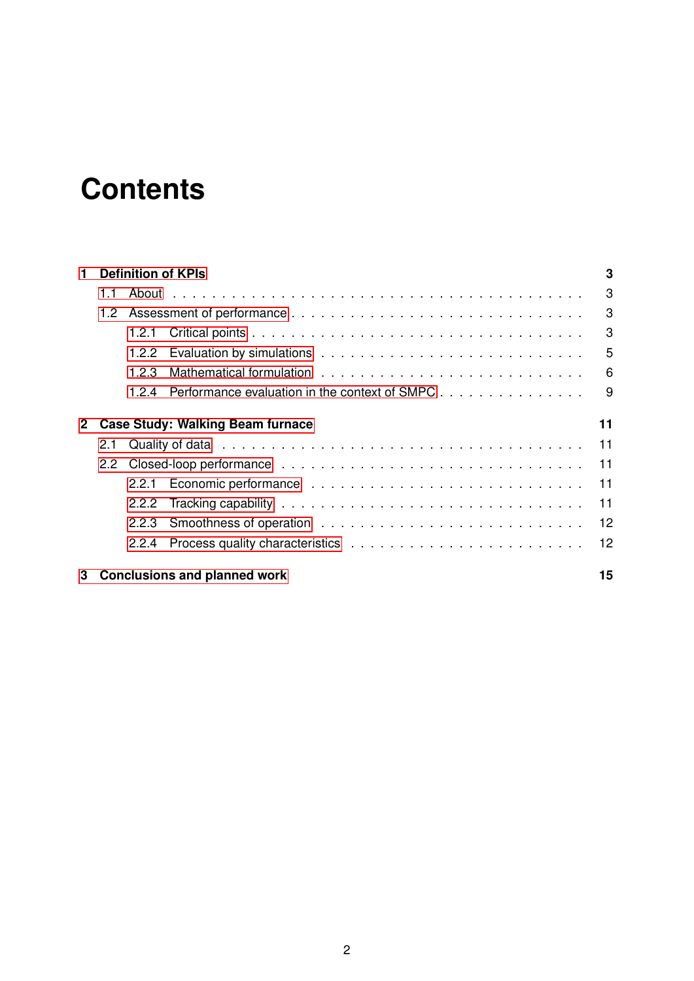# **Contents**

| 1                                            | <b>Definition of KPIs</b> |       | 3                                             |    |
|----------------------------------------------|---------------------------|-------|-----------------------------------------------|----|
|                                              | 1.1                       |       |                                               | 3  |
|                                              | 1.2 <sub>1</sub>          |       |                                               | 3  |
|                                              |                           |       |                                               | 3  |
|                                              |                           | 1.2.2 |                                               | 5  |
|                                              |                           | 1.2.3 |                                               | 6  |
|                                              |                           | 1.2.4 | Performance evaluation in the context of SMPC | 9  |
| <b>Case Study: Walking Beam furnace</b><br>2 |                           |       | 11                                            |    |
|                                              | 2.1                       |       |                                               | 11 |
|                                              | $2.2^{\circ}$             |       |                                               | 11 |
|                                              |                           |       |                                               | 11 |
|                                              |                           | 2.2.2 |                                               | 11 |
|                                              |                           | 2.2.3 |                                               | 12 |
|                                              |                           | 2.2.4 |                                               | 12 |
| 3                                            |                           |       | <b>Conclusions and planned work</b>           | 15 |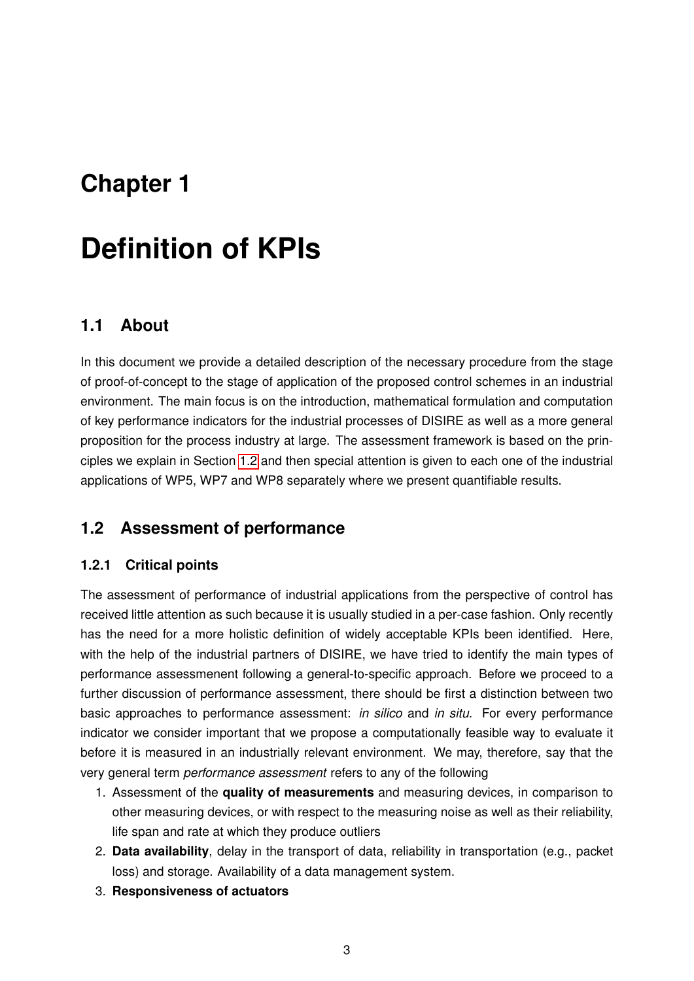# <span id="page-3-0"></span>**Chapter 1**

# **Definition of KPIs**

### <span id="page-3-1"></span>**1.1 About**

In this document we provide a detailed description of the necessary procedure from the stage of proof-of-concept to the stage of application of the proposed control schemes in an industrial environment. The main focus is on the introduction, mathematical formulation and computation of key performance indicators for the industrial processes of DISIRE as well as a more general proposition for the process industry at large. The assessment framework is based on the principles we explain in Section [1.2](#page-3-2) and then special attention is given to each one of the industrial applications of WP5, WP7 and WP8 separately where we present quantifiable results.

## <span id="page-3-2"></span>**1.2 Assessment of performance**

#### <span id="page-3-3"></span>**1.2.1 Critical points**

The assessment of performance of industrial applications from the perspective of control has received little attention as such because it is usually studied in a per-case fashion. Only recently has the need for a more holistic definition of widely acceptable KPIs been identified. Here, with the help of the industrial partners of DISIRE, we have tried to identify the main types of performance assessmenent following a general-to-specific approach. Before we proceed to a further discussion of performance assessment, there should be first a distinction between two basic approaches to performance assessment: *in silico* and *in situ*. For every performance indicator we consider important that we propose a computationally feasible way to evaluate it before it is measured in an industrially relevant environment. We may, therefore, say that the very general term *performance assessment* refers to any of the following

- 1. Assessment of the **quality of measurements** and measuring devices, in comparison to other measuring devices, or with respect to the measuring noise as well as their reliability, life span and rate at which they produce outliers
- 2. **Data availability**, delay in the transport of data, reliability in transportation (e.g., packet loss) and storage. Availability of a data management system.
- 3. **Responsiveness of actuators**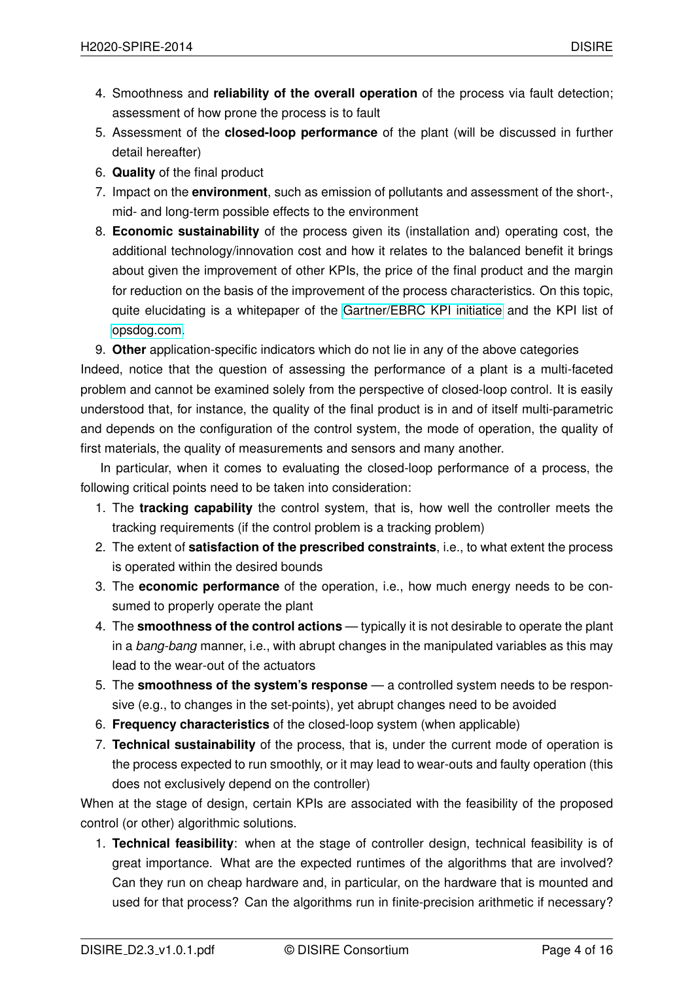- 4. Smoothness and **reliability of the overall operation** of the process via fault detection; assessment of how prone the process is to fault
- 5. Assessment of the **closed-loop performance** of the plant (will be discussed in further detail hereafter)
- 6. **Quality** of the final product
- 7. Impact on the **environment**, such as emission of pollutants and assessment of the short-, mid- and long-term possible effects to the environment
- 8. **Economic sustainability** of the process given its (installation and) operating cost, the additional technology/innovation cost and how it relates to the balanced benefit it brings about given the improvement of other KPIs, the price of the final product and the margin for reduction on the basis of the improvement of the process characteristics. On this topic, quite elucidating is a whitepaper of the [Gartner/EBRC KPI initiatice](http://www.aicpa.org/interestareas/frc/accountingfinancialreporting/enhancedbusinessreporting/downloadabledocuments/industry%20key%20performance%20indicators.pdf) and the KPI list of [opsdog.com.](https://opsdog.com/industries/product-development/product-development-kpis-and-benchmarks)

9. **Other** application-specific indicators which do not lie in any of the above categories

Indeed, notice that the question of assessing the performance of a plant is a multi-faceted problem and cannot be examined solely from the perspective of closed-loop control. It is easily understood that, for instance, the quality of the final product is in and of itself multi-parametric and depends on the configuration of the control system, the mode of operation, the quality of first materials, the quality of measurements and sensors and many another.

In particular, when it comes to evaluating the closed-loop performance of a process, the following critical points need to be taken into consideration:

- 1. The **tracking capability** the control system, that is, how well the controller meets the tracking requirements (if the control problem is a tracking problem)
- 2. The extent of **satisfaction of the prescribed constraints**, i.e., to what extent the process is operated within the desired bounds
- 3. The **economic performance** of the operation, i.e., how much energy needs to be consumed to properly operate the plant
- 4. The **smoothness of the control actions** typically it is not desirable to operate the plant in a *bang-bang* manner, i.e., with abrupt changes in the manipulated variables as this may lead to the wear-out of the actuators
- 5. The **smoothness of the system's response** a controlled system needs to be responsive (e.g., to changes in the set-points), yet abrupt changes need to be avoided
- 6. **Frequency characteristics** of the closed-loop system (when applicable)
- 7. **Technical sustainability** of the process, that is, under the current mode of operation is the process expected to run smoothly, or it may lead to wear-outs and faulty operation (this does not exclusively depend on the controller)

When at the stage of design, certain KPIs are associated with the feasibility of the proposed control (or other) algorithmic solutions.

1. **Technical feasibility**: when at the stage of controller design, technical feasibility is of great importance. What are the expected runtimes of the algorithms that are involved? Can they run on cheap hardware and, in particular, on the hardware that is mounted and used for that process? Can the algorithms run in finite-precision arithmetic if necessary?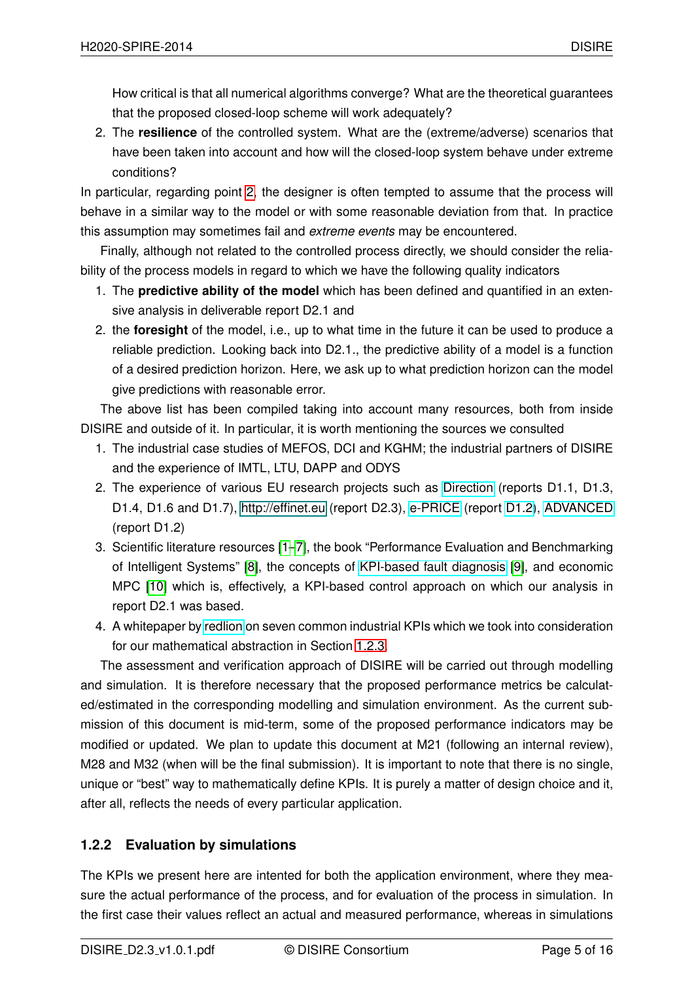How critical is that all numerical algorithms converge? What are the theoretical guarantees that the proposed closed-loop scheme will work adequately?

<span id="page-5-1"></span>2. The **resilience** of the controlled system. What are the (extreme/adverse) scenarios that have been taken into account and how will the closed-loop system behave under extreme conditions?

In particular, regarding point [2,](#page-5-1) the designer is often tempted to assume that the process will behave in a similar way to the model or with some reasonable deviation from that. In practice this assumption may sometimes fail and *extreme events* may be encountered.

Finally, although not related to the controlled process directly, we should consider the reliability of the process models in regard to which we have the following quality indicators

- 1. The **predictive ability of the model** which has been defined and quantified in an extensive analysis in deliverable report D2.1 and
- 2. the **foresight** of the model, i.e., up to what time in the future it can be used to produce a reliable prediction. Looking back into D2.1., the predictive ability of a model is a function of a desired prediction horizon. Here, we ask up to what prediction horizon can the model give predictions with reasonable error.

The above list has been compiled taking into account many resources, both from inside DISIRE and outside of it. In particular, it is worth mentioning the sources we consulted

- 1. The industrial case studies of MEFOS, DCI and KGHM; the industrial partners of DISIRE and the experience of IMTL, LTU, DAPP and ODYS
- 2. The experience of various EU research projects such as [Direction](http://www.direction-fp7.eu/Deliverables/Reports/Reports.kl) (reports D1.1, D1.3, D1.4, D1.6 and D1.7), [http://effinet.eu](#page-0-0) (report D2.3), [e-PRICE](http://www.e-price-project.eu/website/TLL/eprice.php?OPId=15) (report [D1.2\)](http://www.e-price-project.eu/website/files/D1.2-Performance%20Metrics%20%28Final%29.pdf), [ADVANCED](http://www.advancedfp7.eu/getattachment/44451b5a-8543-44d6-841b-7fa66c0a8fd2/ADVANCED-1-2-Report-on-the-validated-KPIs.aspx) (report D1.2)
- 3. Scientific literature resources [\[1–](#page-16-0)[7\]](#page-16-1), the book "Performance Evaluation and Benchmarking of Intelligent Systems" [\[8\]](#page-16-2), the concepts of [KPI-based fault diagnosis](http://ieeexplore.ieee.org/xpl/articleDetails.jsp?arnumber=6565167) [\[9\]](#page-16-3), and economic MPC [\[10\]](#page-16-4) which is, effectively, a KPI-based control approach on which our analysis in report D2.1 was based.
- 4. A whitepaper by [redlion](http://files.redlion.net/filedepot_download/140/113) on seven common industrial KPIs which we took into consideration for our mathematical abstraction in Section [1.2.3.](#page-6-0)

The assessment and verification approach of DISIRE will be carried out through modelling and simulation. It is therefore necessary that the proposed performance metrics be calculated/estimated in the corresponding modelling and simulation environment. As the current submission of this document is mid-term, some of the proposed performance indicators may be modified or updated. We plan to update this document at M21 (following an internal review), M28 and M32 (when will be the final submission). It is important to note that there is no single, unique or "best" way to mathematically define KPIs. It is purely a matter of design choice and it, after all, reflects the needs of every particular application.

### <span id="page-5-0"></span>**1.2.2 Evaluation by simulations**

The KPIs we present here are intented for both the application environment, where they measure the actual performance of the process, and for evaluation of the process in simulation. In the first case their values reflect an actual and measured performance, whereas in simulations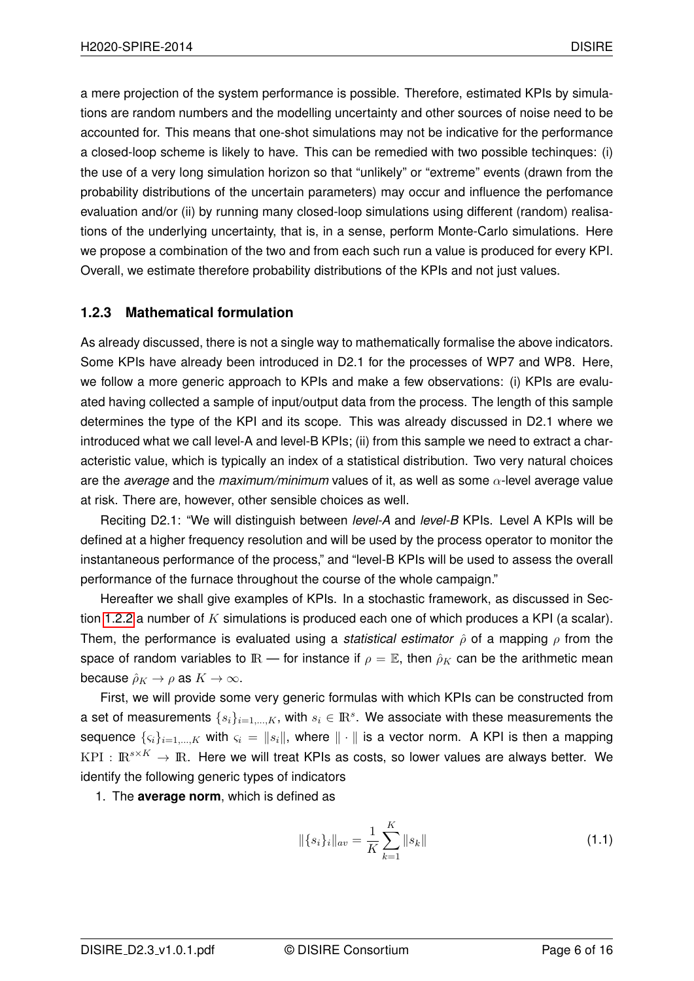a mere projection of the system performance is possible. Therefore, estimated KPIs by simulations are random numbers and the modelling uncertainty and other sources of noise need to be accounted for. This means that one-shot simulations may not be indicative for the performance a closed-loop scheme is likely to have. This can be remedied with two possible techinques: (i) the use of a very long simulation horizon so that "unlikely" or "extreme" events (drawn from the probability distributions of the uncertain parameters) may occur and influence the perfomance evaluation and/or (ii) by running many closed-loop simulations using different (random) realisations of the underlying uncertainty, that is, in a sense, perform Monte-Carlo simulations. Here we propose a combination of the two and from each such run a value is produced for every KPI. Overall, we estimate therefore probability distributions of the KPIs and not just values.

#### <span id="page-6-0"></span>**1.2.3 Mathematical formulation**

As already discussed, there is not a single way to mathematically formalise the above indicators. Some KPIs have already been introduced in D2.1 for the processes of WP7 and WP8. Here, we follow a more generic approach to KPIs and make a few observations: (i) KPIs are evaluated having collected a sample of input/output data from the process. The length of this sample determines the type of the KPI and its scope. This was already discussed in D2.1 where we introduced what we call level-A and level-B KPIs; (ii) from this sample we need to extract a characteristic value, which is typically an index of a statistical distribution. Two very natural choices are the *average* and the *maximum/minimum* values of it, as well as some α-level average value at risk. There are, however, other sensible choices as well.

Reciting D2.1: "We will distinguish between *level-A* and *level-B* KPIs. Level A KPIs will be defined at a higher frequency resolution and will be used by the process operator to monitor the instantaneous performance of the process," and "level-B KPIs will be used to assess the overall performance of the furnace throughout the course of the whole campaign."

Hereafter we shall give examples of KPIs. In a stochastic framework, as discussed in Sec-tion [1.2.2](#page-5-0) a number of K simulations is produced each one of which produces a KPI (a scalar). Them, the performance is evaluated using a *statistical estimator*  $\hat{\rho}$  of a mapping  $\rho$  from the space of random variables to  $\mathbb{R}$  — for instance if  $\rho = \mathbb{E}$ , then  $\rho_K$  can be the arithmetic mean because  $\rho_K \to \rho$  as  $K \to \infty$ .

First, we will provide some very generic formulas with which KPIs can be constructed from a set of measurements  $\{s_i\}_{i=1,\dots,K}$ , with  $s_i \in \rm I\!R^s$ . We associate with these measurements the sequence  $\{s_i\}_{i=1,\dots,K}$  with  $s_i = ||s_i||$ , where  $|| \cdot ||$  is a vector norm. A KPI is then a mapping  $KPI: \mathbb{R}^{s \times K} \to \mathbb{R}$ . Here we will treat KPIs as costs, so lower values are always better. We identify the following generic types of indicators

1. The **average norm**, which is defined as

$$
\|\{s_i\}_i\|_{av} = \frac{1}{K} \sum_{k=1}^K \|s_k\| \tag{1.1}
$$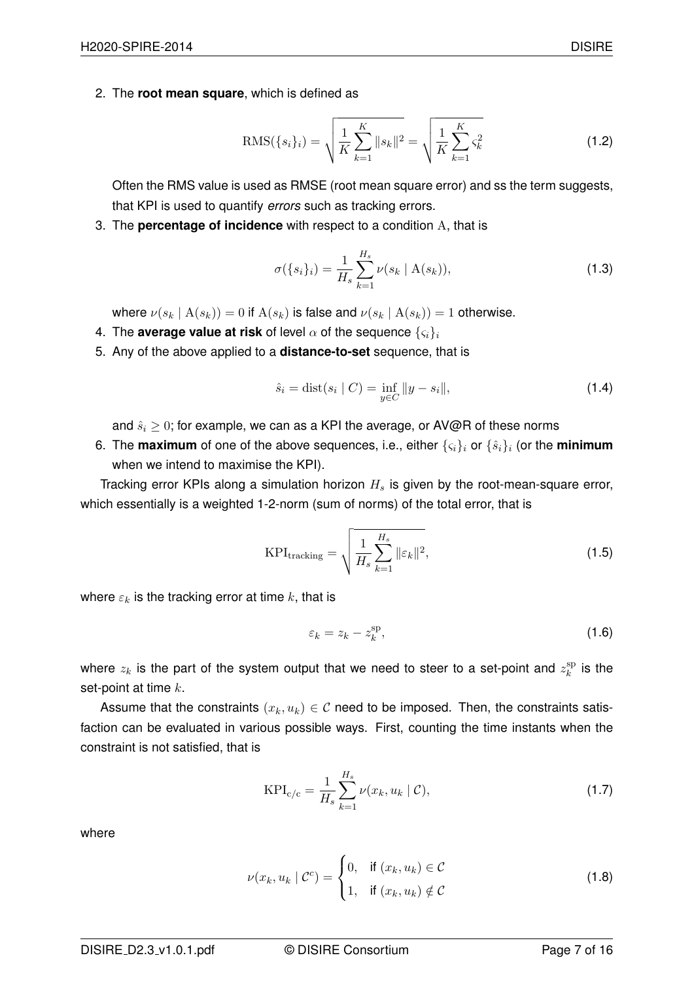RMS(
$$
\{s_i\}_i
$$
) =  $\sqrt{\frac{1}{K} \sum_{k=1}^{K} ||s_k||^2} = \sqrt{\frac{1}{K} \sum_{k=1}^{K} \varsigma_k^2}$  (1.2)

Often the RMS value is used as RMSE (root mean square error) and ss the term suggests, that KPI is used to quantify *errors* such as tracking errors.

3. The **percentage of incidence** with respect to a condition A, that is

<span id="page-7-1"></span>
$$
\sigma(\{s_i\}_i) = \frac{1}{H_s} \sum_{k=1}^{H_s} \nu(s_k \mid A(s_k)),
$$
\n(1.3)

where  $\nu(s_k | A(s_k)) = 0$  if  $A(s_k)$  is false and  $\nu(s_k | A(s_k)) = 1$  otherwise.

- 4. The **average value at risk** of level  $\alpha$  of the sequence  $\{\varsigma_i\}_i$
- 5. Any of the above applied to a **distance-to-set** sequence, that is

$$
\hat{s}_i = \text{dist}(s_i \mid C) = \inf_{y \in C} ||y - s_i||,
$$
\n(1.4)

and  $\hat{s}_i \geq 0$ ; for example, we can as a KPI the average, or AV@R of these norms

6. The **maximum** of one of the above sequences, i.e., either  $\{c_i\}_i$  or  $\{\hat{s}_i\}_i$  (or the **minimum** when we intend to maximise the KPI).

Tracking error KPIs along a simulation horizon  $H_s$  is given by the root-mean-square error, which essentially is a weighted 1-2-norm (sum of norms) of the total error, that is

$$
KPI_{\text{tracking}} = \sqrt{\frac{1}{H_s} \sum_{k=1}^{H_s} ||\varepsilon_k||^2},\tag{1.5}
$$

where  $\varepsilon_k$  is the tracking error at time k, that is

<span id="page-7-0"></span>
$$
\varepsilon_k = z_k - z_k^{\text{sp}},\tag{1.6}
$$

where  $z_k$  is the part of the system output that we need to steer to a set-point and  $z_k^{\text{sp}}$  $\frac{\text{sp}}{k}$  is the set-point at time  $k$ .

Assume that the constraints  $(x_k, u_k) \in \mathcal{C}$  need to be imposed. Then, the constraints satisfaction can be evaluated in various possible ways. First, counting the time instants when the constraint is not satisfied, that is

$$
KPI_{c/c} = \frac{1}{H_s} \sum_{k=1}^{H_s} \nu(x_k, u_k \mid \mathcal{C}),
$$
\n(1.7)

where

$$
\nu(x_k, u_k \mid \mathcal{C}^c) = \begin{cases} 0, & \text{if } (x_k, u_k) \in \mathcal{C} \\ 1, & \text{if } (x_k, u_k) \notin \mathcal{C} \end{cases}
$$
 (1.8)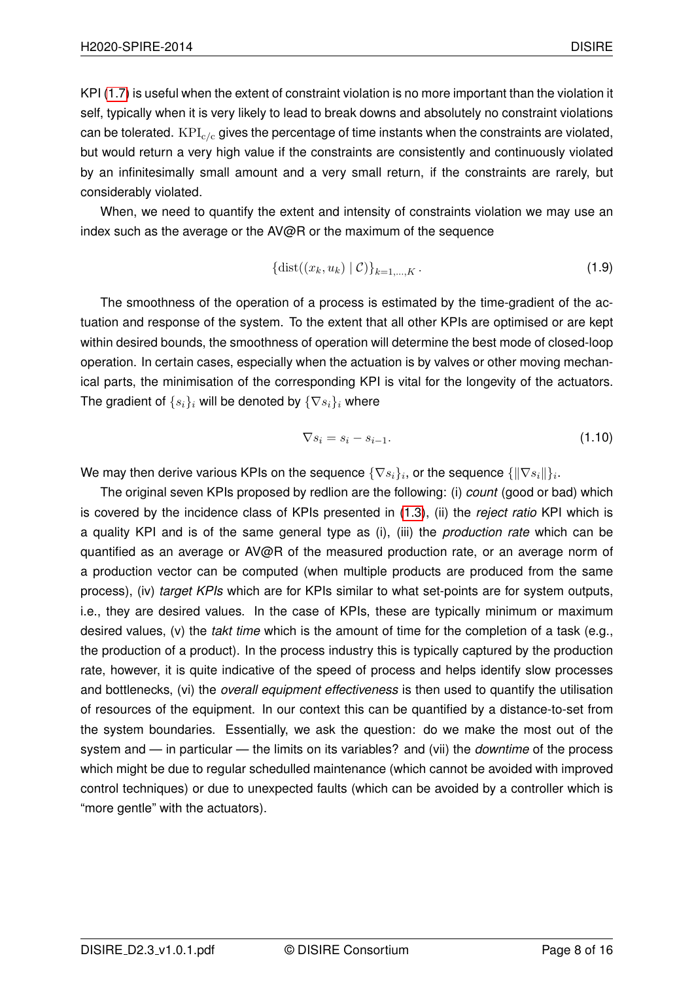KPI [\(1.7\)](#page-7-0) is useful when the extent of constraint violation is no more important than the violation it self, typically when it is very likely to lead to break downs and absolutely no constraint violations can be tolerated.  $KPI_{c/c}$  gives the percentage of time instants when the constraints are violated, but would return a very high value if the constraints are consistently and continuously violated by an infinitesimally small amount and a very small return, if the constraints are rarely, but considerably violated.

When, we need to quantify the extent and intensity of constraints violation we may use an index such as the average or the  $AV@R$  or the maximum of the sequence

$$
\{\text{dist}((x_k, u_k) \mid \mathcal{C})\}_{k=1,\dots,K} \,.
$$
 (1.9)

The smoothness of the operation of a process is estimated by the time-gradient of the actuation and response of the system. To the extent that all other KPIs are optimised or are kept within desired bounds, the smoothness of operation will determine the best mode of closed-loop operation. In certain cases, especially when the actuation is by valves or other moving mechanical parts, the minimisation of the corresponding KPI is vital for the longevity of the actuators. The gradient of  $\{s_i\}_i$  will be denoted by  $\{\nabla s_i\}_i$  where

$$
\nabla s_i = s_i - s_{i-1}.\tag{1.10}
$$

We may then derive various KPIs on the sequence  $\{\nabla s_i\}_i$ , or the sequence  $\{\|\nabla s_i\|\}_i.$ 

The original seven KPIs proposed by redlion are the following: (i) *count* (good or bad) which is covered by the incidence class of KPIs presented in [\(1.3\)](#page-7-1), (ii) the *reject ratio* KPI which is a quality KPI and is of the same general type as (i), (iii) the *production rate* which can be quantified as an average or AV@R of the measured production rate, or an average norm of a production vector can be computed (when multiple products are produced from the same process), (iv) *target KPIs* which are for KPIs similar to what set-points are for system outputs, i.e., they are desired values. In the case of KPIs, these are typically minimum or maximum desired values, (v) the *takt time* which is the amount of time for the completion of a task (e.g., the production of a product). In the process industry this is typically captured by the production rate, however, it is quite indicative of the speed of process and helps identify slow processes and bottlenecks, (vi) the *overall equipment effectiveness* is then used to quantify the utilisation of resources of the equipment. In our context this can be quantified by a distance-to-set from the system boundaries. Essentially, we ask the question: do we make the most out of the system and — in particular — the limits on its variables? and (vii) the *downtime* of the process which might be due to regular schedulled maintenance (which cannot be avoided with improved control techniques) or due to unexpected faults (which can be avoided by a controller which is "more gentle" with the actuators).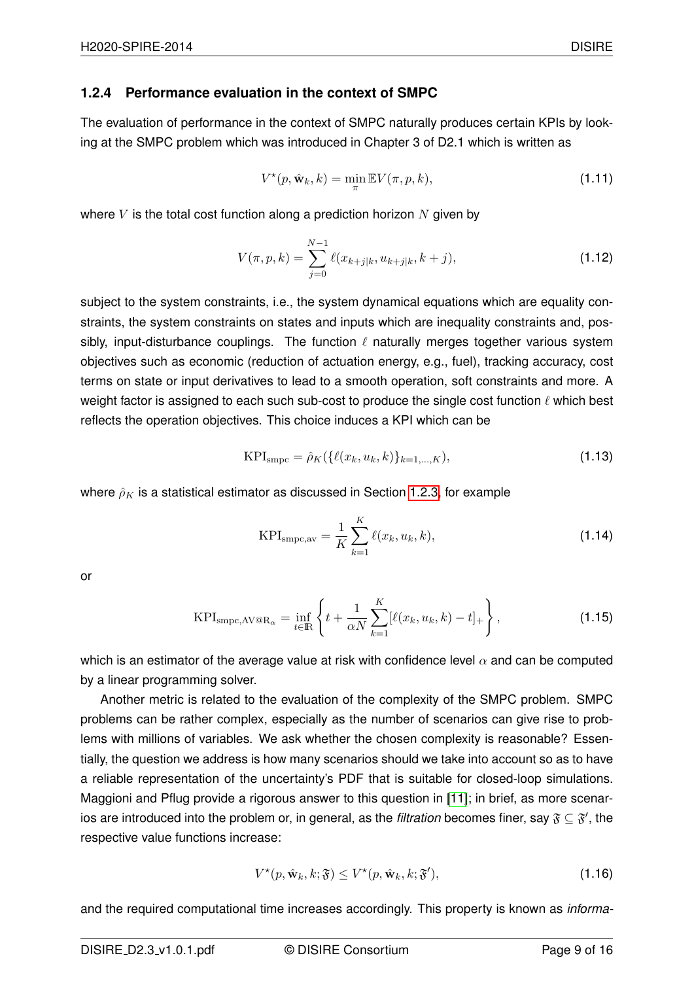### <span id="page-9-0"></span>**1.2.4 Performance evaluation in the context of SMPC**

The evaluation of performance in the context of SMPC naturally produces certain KPIs by looking at the SMPC problem which was introduced in Chapter 3 of D2.1 which is written as

$$
V^{\star}(p, \hat{\mathbf{w}}_k, k) = \min_{\pi} \mathbb{E} V(\pi, p, k), \qquad (1.11)
$$

where  $V$  is the total cost function along a prediction horizon  $N$  given by

$$
V(\pi, p, k) = \sum_{j=0}^{N-1} \ell(x_{k+j|k}, u_{k+j|k}, k+j),
$$
\n(1.12)

subject to the system constraints, i.e., the system dynamical equations which are equality constraints, the system constraints on states and inputs which are inequality constraints and, possibly, input-disturbance couplings. The function  $\ell$  naturally merges together various system objectives such as economic (reduction of actuation energy, e.g., fuel), tracking accuracy, cost terms on state or input derivatives to lead to a smooth operation, soft constraints and more. A weight factor is assigned to each such sub-cost to produce the single cost function  $\ell$  which best reflects the operation objectives. This choice induces a KPI which can be

$$
KPI_{\rm smpc} = \hat{\rho}_K(\{\ell(x_k, u_k, k)\}_{k=1,\dots,K}),\tag{1.13}
$$

where  $\rho_K$  is a statistical estimator as discussed in Section [1.2.3,](#page-6-0) for example

$$
KPI_{\rm smpc,av} = \frac{1}{K} \sum_{k=1}^{K} \ell(x_k, u_k, k),
$$
 (1.14)

or

$$
KPI_{\text{smpc},\text{AV@R}_{\alpha}} = \inf_{t \in \mathbb{R}} \left\{ t + \frac{1}{\alpha N} \sum_{k=1}^{K} [\ell(x_k, u_k, k) - t]_+ \right\},\tag{1.15}
$$

which is an estimator of the average value at risk with confidence level  $\alpha$  and can be computed by a linear programming solver.

Another metric is related to the evaluation of the complexity of the SMPC problem. SMPC problems can be rather complex, especially as the number of scenarios can give rise to problems with millions of variables. We ask whether the chosen complexity is reasonable? Essentially, the question we address is how many scenarios should we take into account so as to have a reliable representation of the uncertainty's PDF that is suitable for closed-loop simulations. Maggioni and Pflug provide a rigorous answer to this question in [\[11\]](#page-16-5); in brief, as more scenarios are introduced into the problem or, in general, as the *filtration* becomes finer, say  $\mathfrak{F} \subseteq \mathfrak{F}',$  the respective value functions increase:

$$
V^{\star}(p, \hat{\mathbf{w}}_k, k; \mathfrak{F}) \le V^{\star}(p, \hat{\mathbf{w}}_k, k; \mathfrak{F}'),\tag{1.16}
$$

and the required computational time increases accordingly. This property is known as *informa-*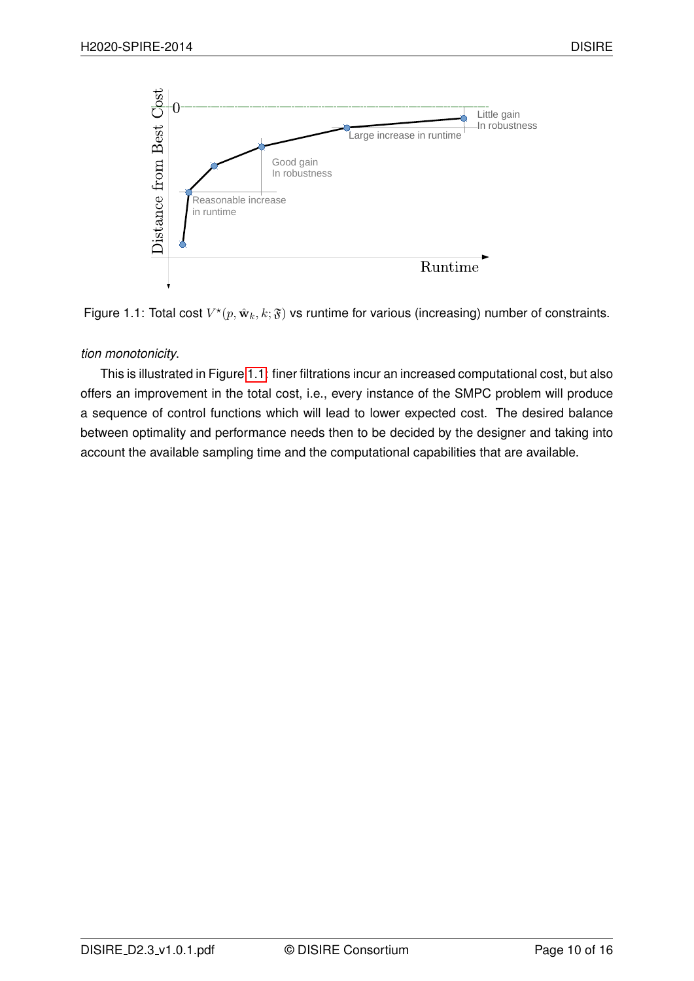<span id="page-10-0"></span>

Figure 1.1: Total cost  $V^{\star}(p, \hat{\mathbf{w}}_k, k; \mathfrak{F})$  vs runtime for various (increasing) number of constraints.

#### *tion monotonicity*.

This is illustrated in Figure [1.1:](#page-10-0) finer filtrations incur an increased computational cost, but also offers an improvement in the total cost, i.e., every instance of the SMPC problem will produce a sequence of control functions which will lead to lower expected cost. The desired balance between optimality and performance needs then to be decided by the designer and taking into account the available sampling time and the computational capabilities that are available.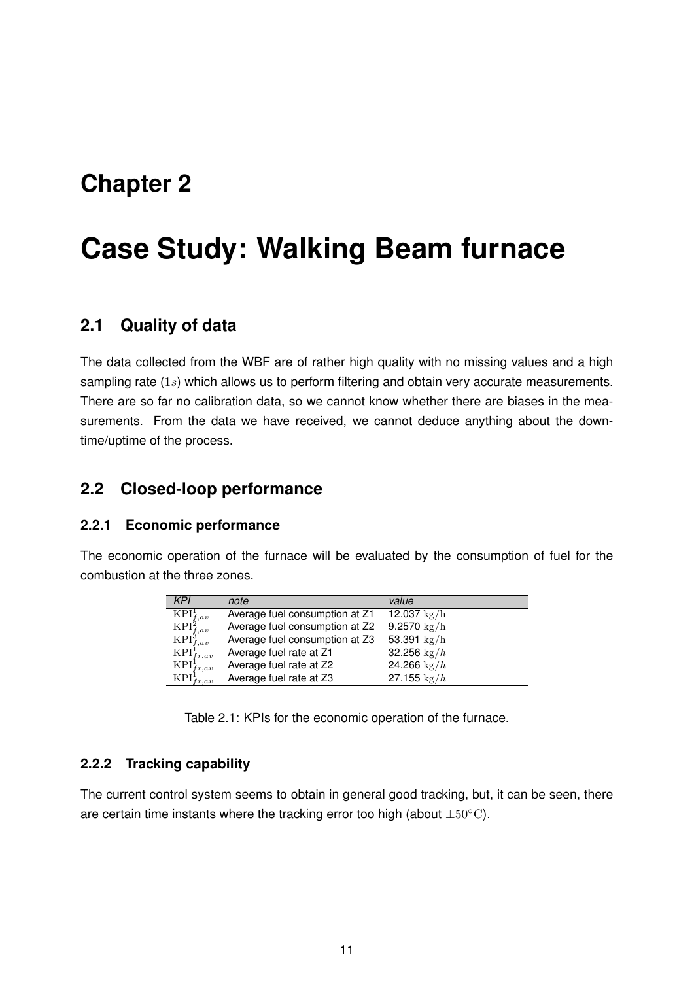## <span id="page-11-0"></span>**Chapter 2**

# **Case Study: Walking Beam furnace**

### <span id="page-11-1"></span>**2.1 Quality of data**

The data collected from the WBF are of rather high quality with no missing values and a high sampling rate  $(1s)$  which allows us to perform filtering and obtain very accurate measurements. There are so far no calibration data, so we cannot know whether there are biases in the measurements. From the data we have received, we cannot deduce anything about the downtime/uptime of the process.

## <span id="page-11-2"></span>**2.2 Closed-loop performance**

#### <span id="page-11-3"></span>**2.2.1 Economic performance**

The economic operation of the furnace will be evaluated by the consumption of fuel for the combustion at the three zones.

| <b>KPI</b>                                                                                                                           | note                           | value                 |
|--------------------------------------------------------------------------------------------------------------------------------------|--------------------------------|-----------------------|
|                                                                                                                                      | Average fuel consumption at Z1 | 12.037 $\rm kg/h$     |
|                                                                                                                                      | Average fuel consumption at Z2 | 9.2570 $\rm kg/h$     |
| $\begin{array}{l} \n\mathbf{KPI}^1_{f,av} \\ \mathbf{KPI}^2_{f,av} \\ \mathbf{KPI}^3_{f,av} \\ \mathbf{KPI}^1_{f,r,av}\n\end{array}$ | Average fuel consumption at Z3 | 53.391 $\rm kg/h$     |
|                                                                                                                                      | Average fuel rate at Z1        | 32.256 $\text{kg}/h$  |
|                                                                                                                                      | Average fuel rate at Z2        | 24.266 $\frac{kg}{h}$ |
| $\operatorname{KPI}^1_{fr,av} \atop \operatorname{KPI}^1_{fr,av}$                                                                    | Average fuel rate at Z3        | 27.155 $\frac{kg}{h}$ |

Table 2.1: KPIs for the economic operation of the furnace.

#### <span id="page-11-4"></span>**2.2.2 Tracking capability**

The current control system seems to obtain in general good tracking, but, it can be seen, there are certain time instants where the tracking error too high (about  $\pm 50^{\circ}$ C).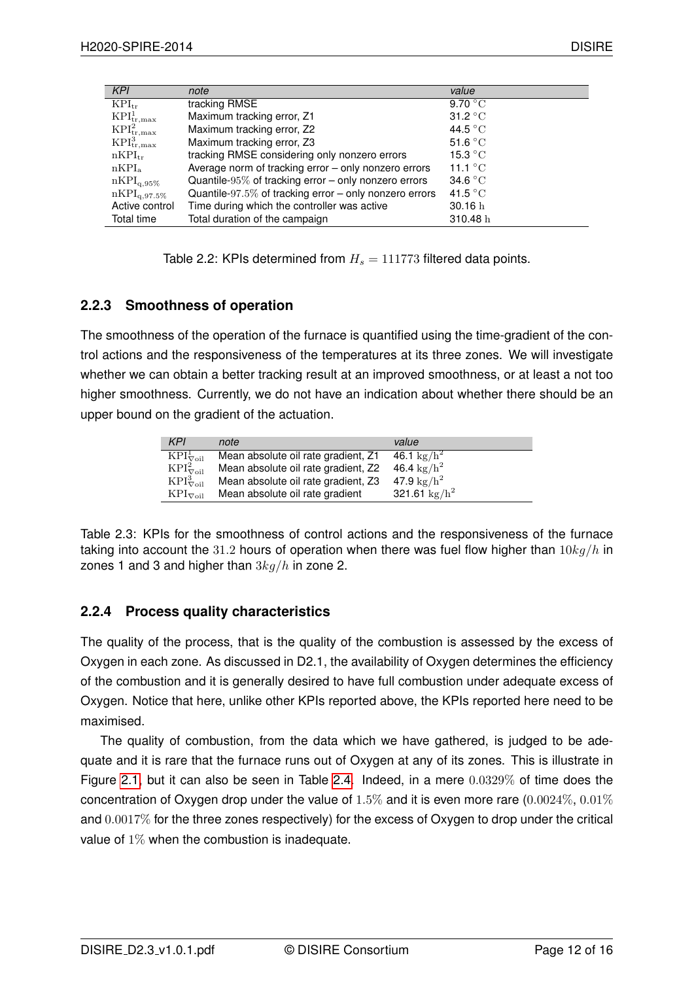| KPI                                | note                                                   | value                     |
|------------------------------------|--------------------------------------------------------|---------------------------|
| $KPI_{tr}$                         | tracking RMSE                                          | 9.70 °C                   |
| KPI <sub>tr,max</sub>              | Maximum tracking error, Z1                             | 31.2 °C                   |
| KPI <sub>tr,max</sub> <sup>2</sup> | Maximum tracking error, Z2                             | 44.5 $\degree$ C          |
| KPI <sub>tr,max</sub> <sup>3</sup> | Maximum tracking error, Z3                             | 51.6 $\degree$ C          |
| $nKPI_{tr}$                        | tracking RMSE considering only nonzero errors          | 15.3 $\mathrm{^{\circ}C}$ |
| nKPI <sub>a</sub>                  | Average norm of tracking error - only nonzero errors   | 11.1 $\degree$ C          |
| $nKPI_{q,95\%}$                    | Quantile-95% of tracking error $-$ only nonzero errors | 34.6 $\degree$ C          |
| $nKPI_{q,97.5\%}$                  | Quantile-97.5% of tracking error – only nonzero errors | 41.5 $\degree$ C          |
| Active control                     | Time during which the controller was active            | 30.16h                    |
| Total time                         | Total duration of the campaign                         | 310.48h                   |

Table 2.2: KPIs determined from  $H_s = 111773$  filtered data points.

### <span id="page-12-0"></span>**2.2.3 Smoothness of operation**

The smoothness of the operation of the furnace is quantified using the time-gradient of the control actions and the responsiveness of the temperatures at its three zones. We will investigate whether we can obtain a better tracking result at an improved smoothness, or at least a not too higher smoothness. Currently, we do not have an indication about whether there should be an upper bound on the gradient of the actuation.

| <b>KPI</b>                                       | note                                | value                  |
|--------------------------------------------------|-------------------------------------|------------------------|
| $\overline{\mathrm{KPI}}_{\nabla\mathrm{oil}}^1$ | Mean absolute oil rate gradient, Z1 | 46.1 $\rm kg/h^2$      |
| $KPI^2_{\nabla oil}$                             | Mean absolute oil rate gradient, Z2 | 46.4 kg/ $h^2$         |
| $KPI^3_{\nabla oil}$                             | Mean absolute oil rate gradient, Z3 | 47.9 $\rm kg/h^2$      |
| $KPI_{\nabla oil}$                               | Mean absolute oil rate gradient     | 321.61 $\text{kg/h}^2$ |

Table 2.3: KPIs for the smoothness of control actions and the responsiveness of the furnace taking into account the 31.2 hours of operation when there was fuel flow higher than  $10kg/h$  in zones 1 and 3 and higher than  $3kg/h$  in zone 2.

### <span id="page-12-1"></span>**2.2.4 Process quality characteristics**

The quality of the process, that is the quality of the combustion is assessed by the excess of Oxygen in each zone. As discussed in D2.1, the availability of Oxygen determines the efficiency of the combustion and it is generally desired to have full combustion under adequate excess of Oxygen. Notice that here, unlike other KPIs reported above, the KPIs reported here need to be maximised.

The quality of combustion, from the data which we have gathered, is judged to be adequate and it is rare that the furnace runs out of Oxygen at any of its zones. This is illustrate in Figure [2.1,](#page-13-0) but it can also be seen in Table [2.4.](#page-14-0) Indeed, in a mere 0.0329% of time does the concentration of Oxygen drop under the value of  $1.5\%$  and it is even more rare  $(0.0024\%, 0.01\%)$ and 0.0017% for the three zones respectively) for the excess of Oxygen to drop under the critical value of  $1\%$  when the combustion is inadequate.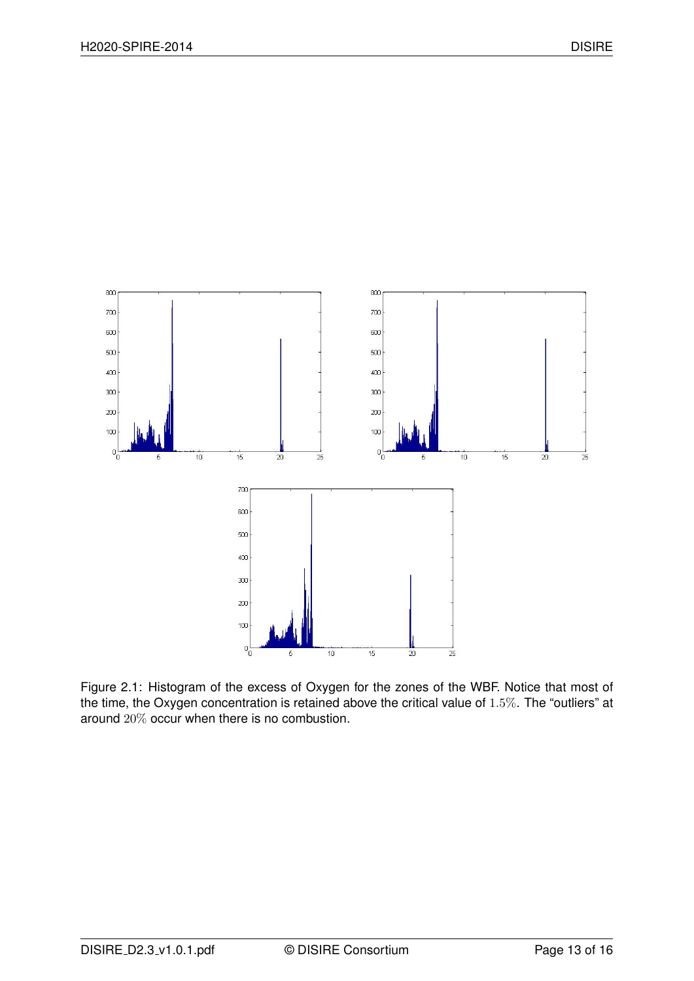<span id="page-13-0"></span>

Figure 2.1: Histogram of the excess of Oxygen for the zones of the WBF. Notice that most of the time, the Oxygen concentration is retained above the critical value of 1.5%. The "outliers" at around 20% occur when there is no combustion.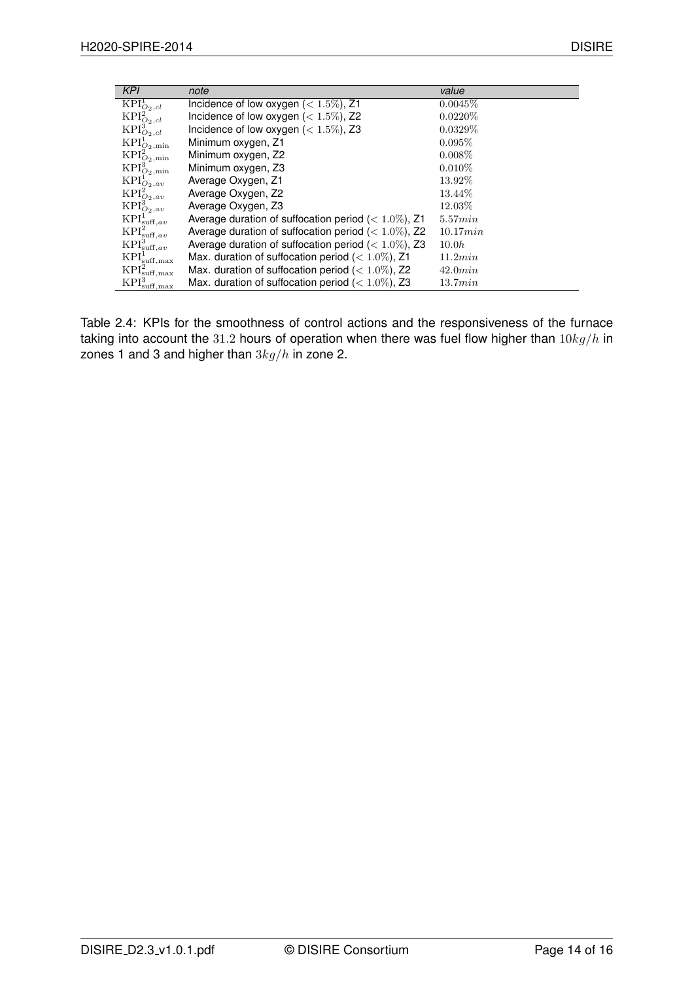<span id="page-14-0"></span>

| KPI                                           | note                                                     | value      |
|-----------------------------------------------|----------------------------------------------------------|------------|
| $\overline{\text{KPI}}_{O_2,cl}^1$            | Incidence of low oxygen $(< 1.5\%)$ , Z1                 | 0.0045%    |
| $\mathrm{KPI}^2_{O_2,cl}$                     | Incidence of low oxygen $(< 1.5\%)$ , Z2                 | $0.0220\%$ |
| $\mathrm{KPI}^3_{O_2,cl}$                     | Incidence of low oxygen $(< 1.5\%)$ , Z3                 | $0.0329\%$ |
| $\mathrm{KPI}^1_{O_2,\mathrm{min}}$           | Minimum oxygen, Z1                                       | $0.095\%$  |
| $\mathrm{KPI}^2_{O_2,\mathrm{min}}$           | Minimum oxygen, Z2                                       | $0.008\%$  |
| $KPI^3_{O_2,\text{min}}$                      | Minimum oxygen, Z3                                       | $0.010\%$  |
| $\operatorname{KPI}^1_{O_2,av}$               | Average Oxygen, Z1                                       | 13.92%     |
| $KPI_{O_2,av}^2$                              | Average Oxygen, Z2                                       | 13.44\%    |
| $KPI_{O_2,av}^3$                              | Average Oxygen, Z3                                       | 12.03%     |
| $\operatorname{KPI}^1_{\text{suff},av}$       | Average duration of suffocation period ( $< 1.0\%$ ), Z1 | 5.57min    |
| KPI <sub>suff,av</sub> <sup>2</sup>           | Average duration of suffocation period ( $< 1.0\%$ ), Z2 | 10.17min   |
| KPI <sub>suff,av</sub>                        | Average duration of suffocation period ( $< 1.0\%$ ), Z3 | 10.0h      |
| $\mathrm{KPI}^1_{\mathrm{suff},\mathrm{max}}$ | Max. duration of suffocation period ( $< 1.0\%$ ), Z1    | 11.2min    |
| $\mathrm{KPI}^2_{\mathrm{suff},\mathrm{max}}$ | Max. duration of suffocation period ( $< 1.0\%$ ), Z2    | 42.0min    |
| $KPI_{\infty}^3$<br>suff.max                  | Max. duration of suffocation period ( $< 1.0\%$ ), Z3    | 13.7min    |

Table 2.4: KPIs for the smoothness of control actions and the responsiveness of the furnace taking into account the 31.2 hours of operation when there was fuel flow higher than  $10kg/h$  in zones 1 and 3 and higher than  $3kg/h$  in zone 2.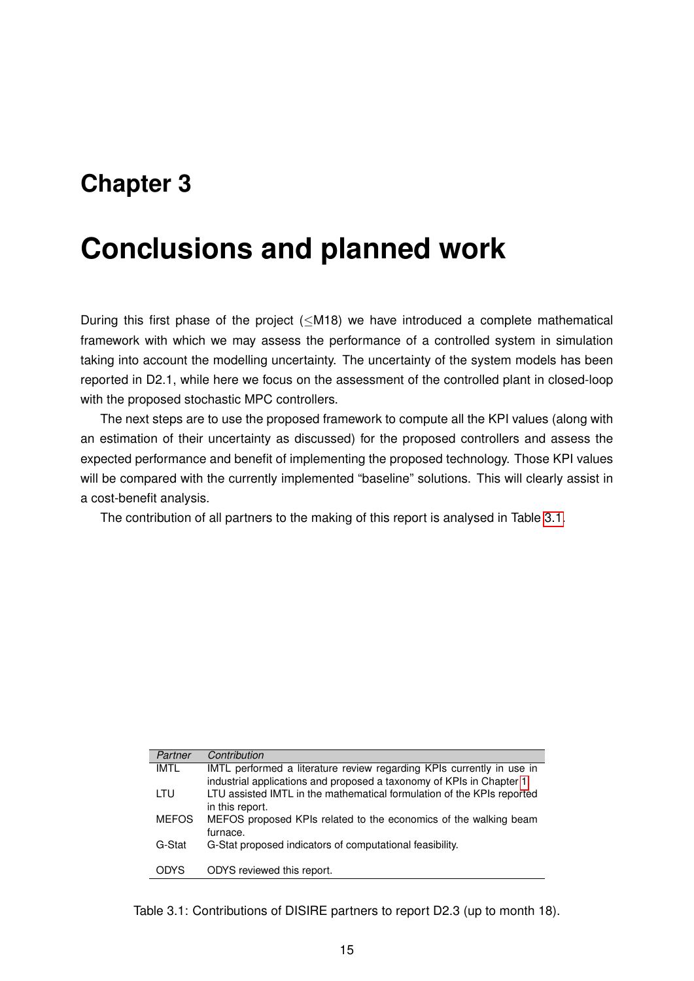# <span id="page-15-0"></span>**Chapter 3**

# **Conclusions and planned work**

During this first phase of the project (<M18) we have introduced a complete mathematical framework with which we may assess the performance of a controlled system in simulation taking into account the modelling uncertainty. The uncertainty of the system models has been reported in D2.1, while here we focus on the assessment of the controlled plant in closed-loop with the proposed stochastic MPC controllers.

The next steps are to use the proposed framework to compute all the KPI values (along with an estimation of their uncertainty as discussed) for the proposed controllers and assess the expected performance and benefit of implementing the proposed technology. Those KPI values will be compared with the currently implemented "baseline" solutions. This will clearly assist in a cost-benefit analysis.

The contribution of all partners to the making of this report is analysed in Table [3.1.](#page-15-1)

<span id="page-15-1"></span>

| Partner      | Contribution                                                           |
|--------------|------------------------------------------------------------------------|
| IMTL         | IMTL performed a literature review regarding KPIs currently in use in  |
|              | industrial applications and proposed a taxonomy of KPIs in Chapter 1.  |
| LTU          | LTU assisted IMTL in the mathematical formulation of the KPIs reported |
|              | in this report.                                                        |
| <b>MEFOS</b> | MEFOS proposed KPIs related to the economics of the walking beam       |
|              | furnace.                                                               |
| G-Stat       | G-Stat proposed indicators of computational feasibility.               |
|              |                                                                        |
| <b>ODYS</b>  | ODYS reviewed this report.                                             |
|              |                                                                        |

Table 3.1: Contributions of DISIRE partners to report D2.3 (up to month 18).